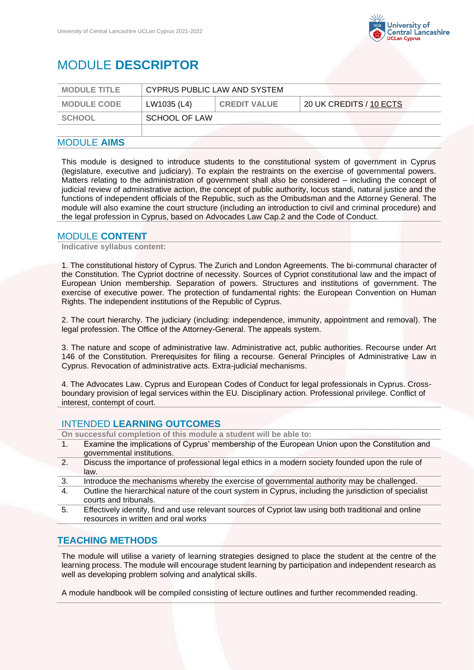

# MODULE **DESCRIPTOR**

| <b>MODULE TITLE</b> | CYPRUS PUBLIC LAW AND SYSTEM |                     |                         |  |
|---------------------|------------------------------|---------------------|-------------------------|--|
| <b>MODULE CODE</b>  | LW1035 (L4)                  | <b>CREDIT VALUE</b> | 20 UK CREDITS / 10 ECTS |  |
| SCHOOL              |                              | SCHOOL OF LAW       |                         |  |
|                     |                              |                     |                         |  |

### MODULE **AIMS**

This module is designed to introduce students to the constitutional system of government in Cyprus (legislature, executive and judiciary). To explain the restraints on the exercise of governmental powers. Matters relating to the administration of government shall also be considered – including the concept of judicial review of administrative action, the concept of public authority, locus standi, natural justice and the functions of independent officials of the Republic, such as the Ombudsman and the Attorney General. The module will also examine the court structure (including an introduction to civil and criminal procedure) and the legal profession in Cyprus, based on Advocades Law Cap.2 and the Code of Conduct.

#### MODULE **CONTENT**

**Indicative syllabus content:**

1. The constitutional history of Cyprus. The Zurich and London Agreements. The bi-communal character of the Constitution. The Cypriot doctrine of necessity. Sources of Cypriot constitutional law and the impact of European Union membership. Separation of powers. Structures and institutions of government. The exercise of executive power. The protection of fundamental rights: the European Convention on Human Rights. The independent institutions of the Republic of Cyprus.

2. The court hierarchy. The judiciary (including: independence, immunity, appointment and removal). The legal profession. The Office of the Attorney-General. The appeals system.

3. The nature and scope of administrative law. Administrative act, public authorities. Recourse under Art 146 of the Constitution. Prerequisites for filing a recourse. General Principles of Administrative Law in Cyprus. Revocation of administrative acts. Extra-judicial mechanisms.

4. The Advocates Law. Cyprus and European Codes of Conduct for legal professionals in Cyprus. Crossboundary provision of legal services within the EU. Disciplinary action. Professional privilege. Conflict of interest, contempt of court.

## INTENDED **LEARNING OUTCOMES**

**On successful completion of this module a student will be able to:**

- 1. Examine the implications of Cyprus' membership of the European Union upon the Constitution and governmental institutions.
- 2. Discuss the importance of professional legal ethics in a modern society founded upon the rule of law.
- 3. Introduce the mechanisms whereby the exercise of governmental authority may be challenged.
- 4. Outline the hierarchical nature of the court system in Cyprus, including the jurisdiction of specialist courts and tribunals.
- 5. Effectively identify, find and use relevant sources of Cypriot law using both traditional and online resources in written and oral works

#### **TEACHING METHODS**

The module will utilise a variety of learning strategies designed to place the student at the centre of the learning process. The module will encourage student learning by participation and independent research as well as developing problem solving and analytical skills.

A module handbook will be compiled consisting of lecture outlines and further recommended reading.